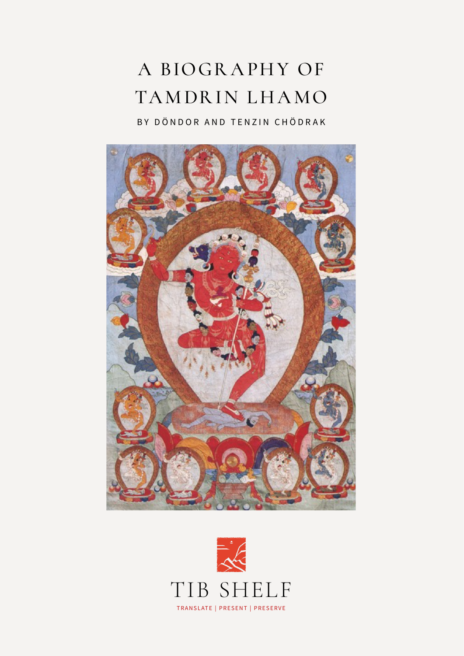## A BIOGRAPHY OF TAMDRIN LHAMO

BY DÖNDOR AND TENZIN CHÖDRAK



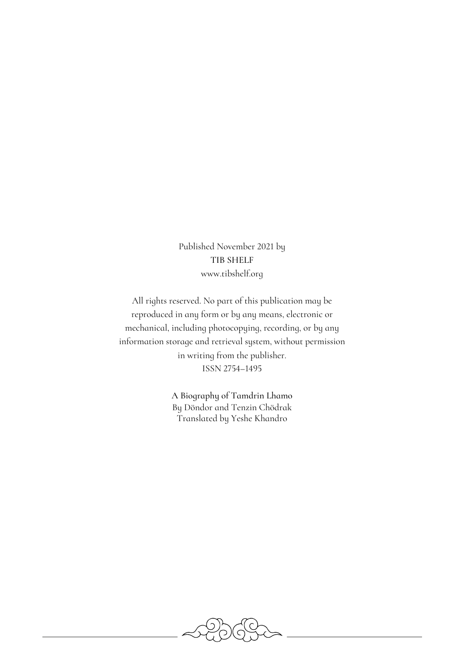Published November 2021 by TIB SHELF www.tibshelf.org

All rights reserved. No part of this publication may be reproduced in any form or by any means, electronic or mechanical, including photocopying, recording, or by any information storage and retrieval system, without permission in writing from the publisher. ISSN 2754–1495

> A Biography of Tamdrin Lhamo By Döndor and Tenzin Chödrak Translated by Yeshe Khandro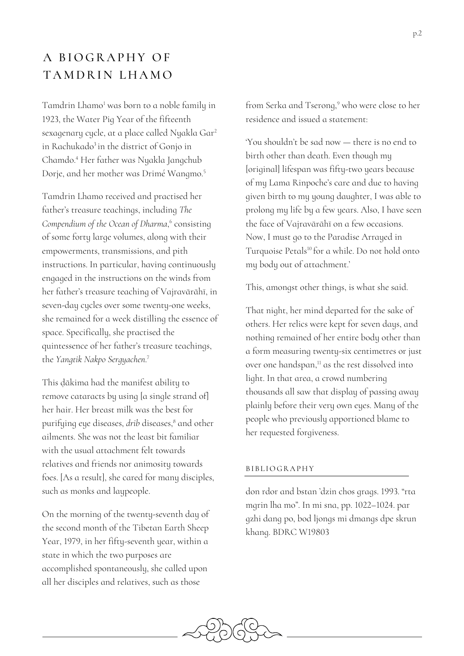## A BIOGRAPHY OF TAMDRIN LHAMO

Tamdrin Lhamo<sup>1</sup> was born to a noble family in 1923, the Water Pig Year of the fifteenth sexagenary cycle, at a place called Nyakla Gar2 in Rachukado<sup>3</sup> in the district of Gonjo in Chamdo. <sup>4</sup> Her father was Nyakla Jangchub Dorje, and her mother was Drimé Wangmo.5

Tamdrin Lhamo received and practised her father's treasure teachings, including *The Compendium of the Ocean of Dharma*, <sup>6</sup> consisting of some forty large volumes, along with their empowerments, transmissions, and pith instructions. In particular, having continuously engaged in the instructions on the winds from her father's treasure teaching of Vajravārāhī, in seven-day cycles over some twenty-one weeks, she remained for a week distilling the essence of space. Specifically, she practised the quintessence of her father's treasure teachings, the *Yangtik Nakpo Sergyachen*. 7

This ḍākima had the manifest ability to remove cataracts by using [a single strand of] her hair. Her breast milk was the best for purifying eye diseases, *drib* diseases,<sup>8</sup> and other ailments. She was not the least bit familiar with the usual attachment felt towards relatives and friends nor animosity towards foes. [As a result], she cared for many disciples, such as monks and laypeople.

On the morning of the twenty-seventh day of the second month of the Tibetan Earth Sheep Year, 1979, in her fifty-seventh year, within a state in which the two purposes are accomplished spontaneously, she called upon all her disciples and relatives, such as those

from Serka and Tserong,<sup>9</sup> who were close to her residence and issued a statement:

'You shouldn't be sad now — there is no end to birth other than death. Even though my [original] lifespan was fifty-two years because of my Lama Rinpoche's care and due to having given birth to my young daughter, I was able to prolong my life by a few years. Also, I have seen the face of Vajravārāhī on a few occasions. Now, I must go to the Paradise Arrayed in Turquoise Petals<sup>10</sup> for a while. Do not hold onto my body out of attachment.'

This, amongst other things, is what she said.

That night, her mind departed for the sake of others. Her relics were kept for seven days, and nothing remained of her entire body other than a form measuring twenty-six centimetres or just over one handspan,<sup>11</sup> as the rest dissolved into light. In that area, a crowd numbering thousands all saw that display of passing away plainly before their very own eyes. Many of the people who previously apportioned blame to her requested forgiveness.

## BIBLIOGRAPHY

don rdor and bstan 'dzin chos grags. 1993. "rta mgrin lha mo". In mi sna, pp. 1022–1024. par gzhi dang po, bod ljongs mi dmangs dpe skrun khang. BDRC W19803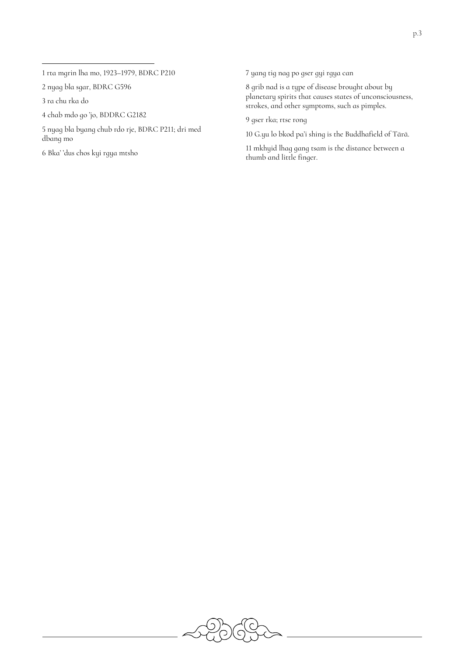rta mgrin lha mo, 1923–1979, BDRC P210

nyag bla sgar, BDRC G596

ra chu rka do

chab mdo go 'jo, BDDRC G2182

 nyag bla byang chub rdo rje, BDRC P211; dri med dbang mo

Bka' 'dus chos kyi rgya mtsho

yang tig nag po gser gyi rgya can

 grib nad is a type of disease brought about by planetary spirits that causes states of unconsciousness, strokes, and other symptoms, such as pimples.

gser rka; rtse rong

G.yu lo bkod pa'i shing is the Buddhafield of Tārā.

 mkhyid lhag gang tsam is the distance between a thumb and little finger.